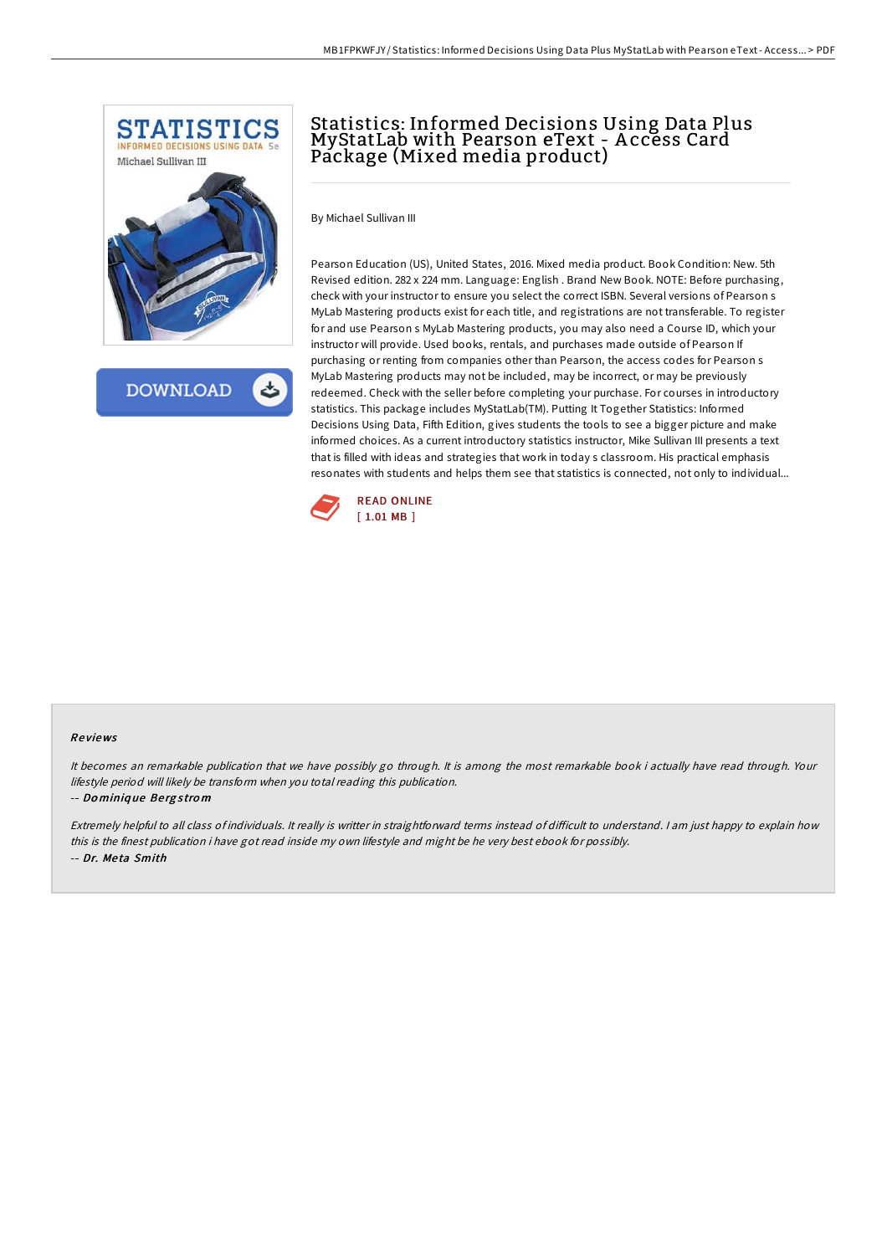

**DOWNLOAD** 

# Statistics: Informed Decisions Using Data Plus MyStatLab with Pearson eText - A ccess Card Package (Mixed media product)

By Michael Sullivan III

Pearson Education (US), United States, 2016. Mixed media product. Book Condition: New. 5th Revised edition. 282 x 224 mm. Language: English . Brand New Book. NOTE: Before purchasing, check with your instructor to ensure you select the correct ISBN. Several versions of Pearson s MyLab Mastering products exist for each title, and registrations are not transferable. To register for and use Pearson s MyLab Mastering products, you may also need a Course ID, which your instructor will provide. Used books, rentals, and purchases made outside of Pearson If purchasing or renting from companies other than Pearson, the access codes for Pearson s MyLab Mastering products may not be included, may be incorrect, or may be previously redeemed. Check with the seller before completing your purchase. For courses in introductory statistics. This package includes MyStatLab(TM). Putting It Together Statistics: Informed Decisions Using Data, Fifth Edition, gives students the tools to see a bigger picture and make informed choices. As a current introductory statistics instructor, Mike Sullivan III presents a text that is filled with ideas and strategies that work in today s classroom. His practical emphasis resonates with students and helps them see that statistics is connected, not only to individual...



### Re views

It becomes an remarkable publication that we have possibly go through. It is among the most remarkable book i actually have read through. Your lifestyle period will likely be transform when you total reading this publication.

#### -- Do miniq ue Be rg <sup>s</sup> tro <sup>m</sup>

Extremely helpful to all class of individuals. It really is writter in straightforward terms instead of difficult to understand. I am just happy to explain how this is the finest publication i have got read inside my own lifestyle and might be he very best ebook for possibly. -- Dr. Me ta Smith